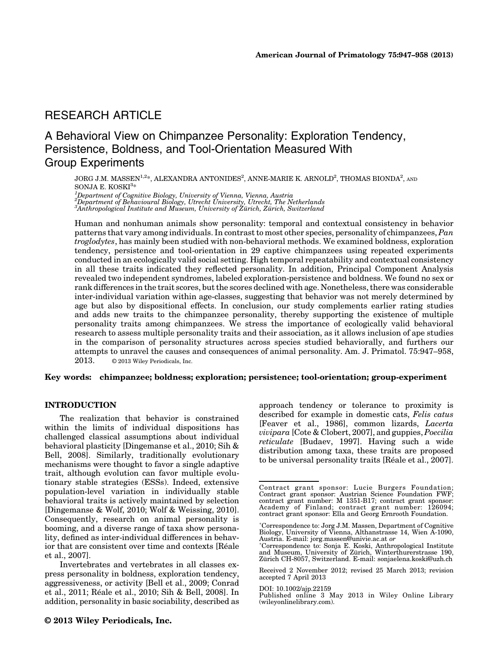# RESEARCH ARTICLE

# A Behavioral View on Chimpanzee Personality: Exploration Tendency, Persistence, Boldness, and Tool‐Orientation Measured With Group Experiments

 $\rm JORG~J.M.~MASSEN^{1,2*}, ALEXANDRA~ANTONIDES^{2}, ANNE-MARIE~K.~ARNOLD^{2}, THOMAS BIONDA^{2},<sub>AND</sub>$ SONJA E. KOSKI<sup>3\*</sup>

SONJA E. KOSKI<sup>3</sup>\*<br><sup>1</sup>Department of Cognitive Biology, University of Vienna, Vienna, Austria<br><sup>2</sup>Department of Behavioural Biology, Utrecht University, Utrecht, The Netherlands<br><sup>3</sup>Anthropological Institute and Museum, Unive

Human and nonhuman animals show personality: temporal and contextual consistency in behavior patterns that vary among individuals. In contrast to most other species, personality of chimpanzees, Pan troglodytes, has mainly been studied with non‐behavioral methods. We examined boldness, exploration tendency, persistence and tool‐orientation in 29 captive chimpanzees using repeated experiments conducted in an ecologically valid social setting. High temporal repeatability and contextual consistency in all these traits indicated they reflected personality. In addition, Principal Component Analysis revealed two independent syndromes, labeled exploration‐persistence and boldness. We found no sex or rank differences in the trait scores, but the scores declined with age. Nonetheless, there was considerable inter-individual variation within age-classes, suggesting that behavior was not merely determined by age but also by dispositional effects. In conclusion, our study complements earlier rating studies and adds new traits to the chimpanzee personality, thereby supporting the existence of multiple personality traits among chimpanzees. We stress the importance of ecologically valid behavioral research to assess multiple personality traits and their association, as it allows inclusion of ape studies in the comparison of personality structures across species studied behaviorally, and furthers our attempts to unravel the causes and consequences of animal personality. Am. J. Primatol. 75:947–958, 2013. © 2013 Wiley Periodicals, Inc.

Key words: chimpanzee; boldness; exploration; persistence; tool‐orientation; group‐experiment

# INTRODUCTION

The realization that behavior is constrained within the limits of individual dispositions has challenged classical assumptions about individual behavioral plasticity [Dingemanse et al., 2010; Sih & Bell, 2008]. Similarly, traditionally evolutionary mechanisms were thought to favor a single adaptive trait, although evolution can favor multiple evolutionary stable strategies (ESSs). Indeed, extensive population‐level variation in individually stable behavioral traits is actively maintained by selection [Dingemanse & Wolf, 2010; Wolf & Weissing, 2010]. Consequently, research on animal personality is booming, and a diverse range of taxa show personality, defined as inter‐individual differences in behavior that are consistent over time and contexts [Réale et al., 2007].

Invertebrates and vertebrates in all classes express personality in boldness, exploration tendency, aggressiveness, or activity [Bell et al., 2009; Conrad et al., 2011; Réale et al., 2010; Sih & Bell, 2008]. In addition, personality in basic sociability, described as

approach tendency or tolerance to proximity is described for example in domestic cats, Felis catus [Feaver et al., 1986], common lizards, Lacerta vivipara [Cote & Clobert, 2007], and guppies, Poecilia reticulate [Budaev, 1997]. Having such a wide distribution among taxa, these traits are proposed to be universal personality traits [Réale et al., 2007].

Contract grant sponsor: Lucie Burgers Foundation; Contract grant sponsor: Austrian Science Foundation FWF; contract grant number: M 1351‐B17; contract grant sponsor: Academy of Finland; contract grant number: 126094; contract grant sponsor: Ella and Georg Ernrooth Foundation.

Biology, University of Vienna, Althanstrasse 14, Wien A‐1090, Correspondence to: Jorg J.M. Massen, Department of Cognitive

Austria. E-mail: jorg.massen@univie.ac.at or<br>\*Correspondence to: Sonja E. Koski, Anthropological Institute<br>and Museum, University of Zürich, Winterthurerstrasse 190,<br>Zürich CH-8057, Switzerland. E-mail: sonjaelena.koski@uz

Received 2 November 2012; revised 25 March 2013; revision accepted 7 April 2013

DOI: 10.1002/ajp.22159

Published online 3 May 2013 in Wiley Online Library (wileyonlinelibrary.com).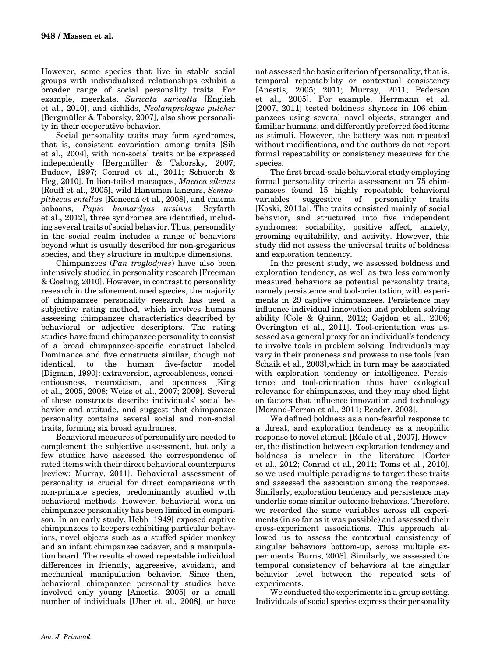However, some species that live in stable social groups with individualized relationships exhibit a broader range of social personality traits. For example, meerkats, Suricata suricatta [English et al., 2010], and cichlids, Neolamprologus pulcher [Bergmüller & Taborsky, 2007], also show personality in their cooperative behavior.

Social personality traits may form syndromes, that is, consistent covariation among traits [Sih et al., 2004], with non‐social traits or be expressed independently [Bergmüller & Taborsky, 2007; Budaev, 1997; Conrad et al., 2011; Schuerch & Heg, 2010]. In lion-tailed macaques, Macaca silenus [Rouff et al., 2005], wild Hanuman langurs, Semnopithecus entellus [Konecná et al., 2008], and chacma baboons, Papio hamardyas ursinus [Seyfarth et al., 2012], three syndromes are identified, including several traits of social behavior. Thus, personality in the social realm includes a range of behaviors beyond what is usually described for non‐gregarious species, and they structure in multiple dimensions.

Chimpanzees (Pan troglodytes) have also been intensively studied in personality research [Freeman & Gosling, 2010]. However, in contrast to personality research in the aforementioned species, the majority of chimpanzee personality research has used a subjective rating method, which involves humans assessing chimpanzee characteristics described by behavioral or adjective descriptors. The rating studies have found chimpanzee personality to consist of a broad chimpanzee‐specific construct labeled Dominance and five constructs similar, though not identical, to the human five-factor model [Digman, 1990]: extraversion, agreeableness, conscientiousness, neuroticism, and openness [King et al., 2005, 2008; Weiss et al., 2007; 2009]. Several of these constructs describe individuals' social behavior and attitude, and suggest that chimpanzee personality contains several social and non‐social traits, forming six broad syndromes.

Behavioral measures of personality are needed to complement the subjective assessment, but only a few studies have assessed the correspondence of rated items with their direct behavioral counterparts [review: Murray, 2011]. Behavioral assessment of personality is crucial for direct comparisons with non‐primate species, predominantly studied with behavioral methods. However, behavioral work on chimpanzee personality has been limited in comparison. In an early study, Hebb [1949] exposed captive chimpanzees to keepers exhibiting particular behaviors, novel objects such as a stuffed spider monkey and an infant chimpanzee cadaver, and a manipulation board. The results showed repeatable individual differences in friendly, aggressive, avoidant, and mechanical manipulation behavior. Since then, behavioral chimpanzee personality studies have involved only young [Anestis, 2005] or a small number of individuals [Uher et al., 2008], or have

not assessed the basic criterion of personality, that is, temporal repeatability or contextual consistency [Anestis, 2005; 2011; Murray, 2011; Pederson et al., 2005]. For example, Herrmann et al. [2007, 2011] tested boldness–shyness in 106 chimpanzees using several novel objects, stranger and familiar humans, and differently preferred food items as stimuli. However, the battery was not repeated without modifications, and the authors do not report formal repeatability or consistency measures for the species.

The first broad‐scale behavioral study employing formal personality criteria assessment on 75 chimpanzees found 15 highly repeatable behavioral variables suggestive of personality traits [Koski, 2011a]. The traits consisted mainly of social behavior, and structured into five independent syndromes: sociability, positive affect, anxiety, grooming equitability, and activity. However, this study did not assess the universal traits of boldness and exploration tendency.

In the present study, we assessed boldness and exploration tendency, as well as two less commonly measured behaviors as potential personality traits, namely persistence and tool‐orientation, with experiments in 29 captive chimpanzees. Persistence may influence individual innovation and problem solving ability [Cole & Quinn, 2012; Gajdon et al., 2006; Overington et al., 2011]. Tool‐orientation was assessed as a general proxy for an individual's tendency to involve tools in problem solving. Individuals may vary in their proneness and prowess to use tools [van Schaik et al., 2003],which in turn may be associated with exploration tendency or intelligence. Persistence and tool‐orientation thus have ecological relevance for chimpanzees, and they may shed light on factors that influence innovation and technology [Morand‐Ferron et al., 2011; Reader, 2003].

We defined boldness as a non‐fearful response to a threat, and exploration tendency as a neophilic response to novel stimuli [Réale et al., 2007]. However, the distinction between exploration tendency and boldness is unclear in the literature [Carter et al., 2012; Conrad et al., 2011; Toms et al., 2010], so we used multiple paradigms to target these traits and assessed the association among the responses. Similarly, exploration tendency and persistence may underlie some similar outcome behaviors. Therefore, we recorded the same variables across all experiments (in so far as it was possible) and assessed their cross‐experiment associations. This approach allowed us to assess the contextual consistency of singular behaviors bottom‐up, across multiple experiments [Burns, 2008]. Similarly, we assessed the temporal consistency of behaviors at the singular behavior level between the repeated sets of experiments.

We conducted the experiments in a group setting. Individuals of social species express their personality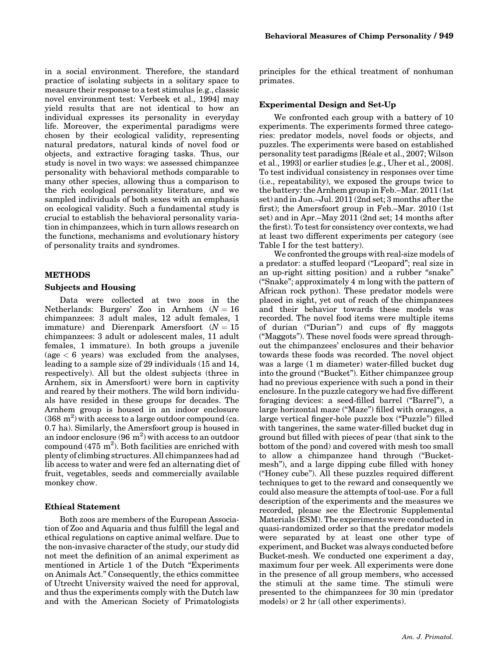in a social environment. Therefore, the standard practice of isolating subjects in a solitary space to measure their response to a test stimulus [e.g., classic novel environment test: Verbeek et al., 1994] may yield results that are not identical to how an individual expresses its personality in everyday life. Moreover, the experimental paradigms were chosen by their ecological validity, representing natural predators, natural kinds of novel food or objects, and extractive foraging tasks. Thus, our study is novel in two ways: we assessed chimpanzee personality with behavioral methods comparable to many other species, allowing thus a comparison to the rich ecological personality literature, and we sampled individuals of both sexes with an emphasis on ecological validity. Such a fundamental study is crucial to establish the behavioral personality variation in chimpanzees, which in turn allows research on the functions, mechanisms and evolutionary history of personality traits and syndromes.

### METHODS

### Subjects and Housing

Data were collected at two zoos in the Netherlands: Burgers' Zoo in Arnhem  $(N = 16)$ chimpanzees: 3 adult males, 12 adult females, 1 immature) and Dierenpark Amersfoort  $(N = 15)$ chimpanzees: 3 adult or adolescent males, 11 adult females, 1 immature). In both groups a juvenile  $(age < 6 \text{ years})$  was excluded from the analyses, leading to a sample size of 29 individuals (15 and 14, respectively). All but the oldest subjects (three in Arnhem, six in Amersfoort) were born in captivity and reared by their mothers. The wild born individuals have resided in these groups for decades. The Arnhem group is housed in an indoor enclosure  $(368 \text{ m}^2)$  with access to a large outdoor compound (ca. 0.7 ha). Similarly, the Amersfoort group is housed in an indoor enclosure  $(96 \text{ m}^2)$  with access to an outdoor compound  $(475 \text{ m}^2)$ . Both facilities are enriched with plenty of climbing structures. All chimpanzees had ad lib access to water and were fed an alternating diet of fruit, vegetables, seeds and commercially available monkey chow.

### Ethical Statement

Both zoos are members of the European Association of Zoo and Aquaria and thus fulfill the legal and ethical regulations on captive animal welfare. Due to the non‐invasive character of the study, our study did not meet the definition of an animal experiment as mentioned in Article 1 of the Dutch "Experiments on Animals Act." Consequently, the ethics committee of Utrecht University waived the need for approval, and thus the experiments comply with the Dutch law and with the American Society of Primatologists

principles for the ethical treatment of nonhuman primates.

### Experimental Design and Set‐Up

We confronted each group with a battery of 10 experiments. The experiments formed three categories: predator models, novel foods or objects, and puzzles. The experiments were based on established personality test paradigms [Réale et al., 2007; Wilson et al., 1993] or earlier studies [e.g., Uher et al., 2008]. To test individual consistency in responses over time (i.e., repeatability), we exposed the groups twice to the battery: the Arnhem group in Feb.–Mar. 2011 (1st set) and in Jun.–Jul. 2011 (2nd set; 3 months after the first); the Amersfoort group in Feb.–Mar. 2010 (1st set) and in Apr.–May 2011 (2nd set; 14 months after the first). To test for consistency over contexts, we had at least two different experiments per category (see Table I for the test battery).

We confronted the groups with real‐size models of a predator: a stuffed leopard ("Leopard"; real size in an up‐right sitting position) and a rubber "snake" ("Snake"; approximately 4 m long with the pattern of African rock python). These predator models were placed in sight, yet out of reach of the chimpanzees and their behavior towards these models was recorded. The novel food items were multiple items of durian ("Durian") and cups of fly maggots ("Maggots"). These novel foods were spread throughout the chimpanzees' enclosures and their behavior towards these foods was recorded. The novel object was a large (1 m diameter) water‐filled bucket dug into the ground ("Bucket"). Either chimpanzee group had no previous experience with such a pond in their enclosure. In the puzzle category we had five different foraging devices: a seed‐filled barrel ("Barrel"), a large horizontal maze ("Maze") filled with oranges, a large vertical finger‐hole puzzle box ("Puzzle") filled with tangerines, the same water-filled bucket dug in ground but filled with pieces of pear (that sink to the bottom of the pond) and covered with mesh too small to allow a chimpanzee hand through ("Bucket‐ mesh"), and a large dipping cube filled with honey ("Honey cube"). All these puzzles required different techniques to get to the reward and consequently we could also measure the attempts of tool‐use. For a full description of the experiments and the measures we recorded, please see the Electronic Supplemental Materials (ESM). The experiments were conducted in quasi‐randomized order so that the predator models were separated by at least one other type of experiment, and Bucket was always conducted before Bucket‐mesh. We conducted one experiment a day, maximum four per week. All experiments were done in the presence of all group members, who accessed the stimuli at the same time. The stimuli were presented to the chimpanzees for 30 min (predator models) or 2 hr (all other experiments).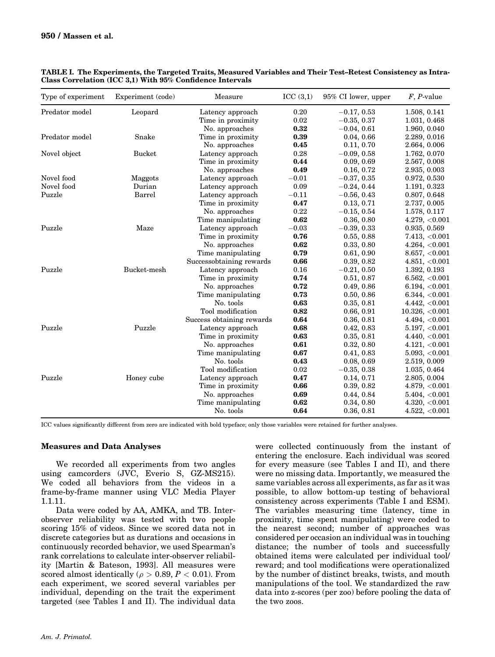| Type of experiment | Experiment (code) | Measure                   | ICC(3,1) | 95% CI lower, upper | $F, P$ -value  |
|--------------------|-------------------|---------------------------|----------|---------------------|----------------|
| Predator model     | Leopard           | Latency approach          | 0.20     | $-0.17, 0.53$       | 1.508, 0.141   |
|                    |                   | Time in proximity         | 0.02     | $-0.35, 0.37$       | 1.031, 0.468   |
|                    |                   | No. approaches            | 0.32     | $-0.04, 0.61$       | 1.960, 0.040   |
| Predator model     | Snake             | Time in proximity         | 0.39     | 0.04, 0.66          | 2.289, 0.016   |
|                    |                   | No. approaches            | 0.45     | 0.11, 0.70          | 2.664, 0.006   |
| Novel object       | <b>Bucket</b>     | Latency approach          | 0.28     | $-0.09, 0.58$       | 1.762, 0.070   |
|                    |                   | Time in proximity         | 0.44     | 0.09, 0.69          | 2.567, 0.008   |
|                    |                   | No. approaches            | 0.49     | 0.16, 0.72          | 2.935, 0.003   |
| Novel food         | Maggots           | Latency approach          | $-0.01$  | $-0.37, 0.35$       | 0.972, 0.530   |
| Novel food         | Durian            | Latency approach          | 0.09     | $-0.24, 0.44$       | 1.191, 0.323   |
| Puzzle             | Barrel            | Latency approach          | $-0.11$  | $-0.56, 0.43$       | 0.807, 0.648   |
|                    |                   | Time in proximity         | 0.47     | 0.13, 0.71          | 2.737, 0.005   |
|                    |                   | No. approaches            | 0.22     | $-0.15, 0.54$       | 1.578, 0.117   |
|                    |                   | Time manipulating         | 0.62     | 0.36, 0.80          | 4.279, < 0.001 |
| Puzzle             | Maze              | Latency approach          | $-0.03$  | $-0.39, 0.33$       | 0.935, 0.569   |
|                    |                   | Time in proximity         | 0.76     | 0.55, 0.88          | 7.413, <0.001  |
|                    |                   | No. approaches            | 0.62     | 0.33, 0.80          | 4.264, <0.001  |
|                    |                   | Time manipulating         | 0.79     | 0.61, 0.90          | 8.657, < 0.001 |
|                    |                   | Successobtaining rewards  | 0.66     | 0.39, 0.82          | 4.851, < 0.001 |
| Puzzle             | Bucket-mesh       | Latency approach          | 0.16     | $-0.21, 0.50$       | 1.392, 0.193   |
|                    |                   | Time in proximity         | 0.74     | 0.51, 0.87          | 6.562, < 0.001 |
|                    |                   | No. approaches            | 0.72     | 0.49, 0.86          | 6.194, <0.001  |
|                    |                   | Time manipulating         | 0.73     | 0.50, 0.86          | 6.344, <0.001  |
|                    |                   | No. tools                 | 0.63     | 0.35, 0.81          | 4.442, < 0.001 |
|                    |                   | Tool modification         | 0.82     | 0.66, 0.91          | 10.326, <0.001 |
|                    |                   | Success obtaining rewards | 0.64     | 0.36, 0.81          | 4.494, < 0.001 |
| Puzzle             | Puzzle            | Latency approach          | 0.68     | 0.42, 0.83          | 5.197, < 0.001 |
|                    |                   | Time in proximity         | 0.63     | 0.35, 0.81          | 4.440, < 0.001 |
|                    |                   | No. approaches            | 0.61     | 0.32, 0.80          | 4.121, < 0.001 |
|                    |                   | Time manipulating         | 0.67     | 0.41, 0.83          | 5.093, < 0.001 |
|                    |                   | No. tools                 | 0.43     | 0.08, 0.69          | 2.519, 0.009   |
|                    |                   | Tool modification         | 0.02     | $-0.35, 0.38$       | 1.035, 0.464   |
| Puzzle             | Honey cube        | Latency approach          | 0.47     | 0.14, 0.71          | 2.805, 0.004   |
|                    |                   | Time in proximity         | 0.66     | 0.39, 0.82          | 4.879, < 0.001 |
|                    |                   | No. approaches            | 0.69     | 0.44, 0.84          | 5.404, <0.001  |
|                    |                   | Time manipulating         | 0.62     | 0.34, 0.80          | 4.320, < 0.001 |
|                    |                   | No. tools                 | 0.64     | 0.36, 0.81          | 4.522, < 0.001 |

TABLE I. The Experiments, the Targeted Traits, Measured Variables and Their Test–Retest Consistency as Intra‐ Class Correlation (ICC 3,1) With 95% Confidence Intervals

ICC values significantly different from zero are indicated with bold typeface; only those variables were retained for further analyses.

# Measures and Data Analyses

We recorded all experiments from two angles using camcorders (JVC, Everio S, GZ-MS215). We coded all behaviors from the videos in a frame‐by‐frame manner using VLC Media Player 1.1.11.

Data were coded by AA, AMKA, and TB. Inter‐ observer reliability was tested with two people scoring 15% of videos. Since we scored data not in discrete categories but as durations and occasions in continuously recorded behavior, we used Spearman's rank correlations to calculate inter‐observer reliability [Martin & Bateson, 1993]. All measures were scored almost identically ( $\rho > 0.89, P < 0.01$ ). From each experiment, we scored several variables per individual, depending on the trait the experiment targeted (see Tables I and II). The individual data were collected continuously from the instant of entering the enclosure. Each individual was scored for every measure (see Tables I and II), and there were no missing data. Importantly, we measured the same variables across all experiments, as far as it was possible, to allow bottom‐up testing of behavioral consistency across experiments (Table I and ESM). The variables measuring time (latency, time in proximity, time spent manipulating) were coded to the nearest second; number of approaches was considered per occasion an individual was in touching distance; the number of tools and successfully obtained items were calculated per individual tool/ reward; and tool modifications were operationalized by the number of distinct breaks, twists, and mouth manipulations of the tool. We standardized the raw data into z‐scores (per zoo) before pooling the data of the two zoos.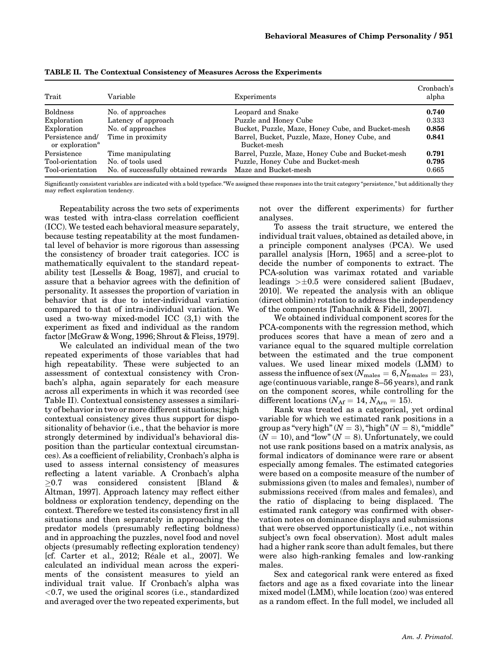| Variable            | Experiments                                                  | Cronbach's<br>alpha                                          |
|---------------------|--------------------------------------------------------------|--------------------------------------------------------------|
| No. of approaches   | Leopard and Snake                                            | 0.740                                                        |
| Latency of approach | Puzzle and Honey Cube                                        | 0.333                                                        |
| No. of approaches   | Bucket, Puzzle, Maze, Honey Cube, and Bucket-mesh            | 0.856                                                        |
| Time in proximity   | Barrel, Bucket, Puzzle, Maze, Honey Cube, and<br>Bucket-mesh | 0.841                                                        |
| Time manipulating   | Barrel, Puzzle, Maze, Honey Cube and Bucket-mesh             | 0.791                                                        |
| No. of tools used   | Puzzle, Honey Cube and Bucket-mesh                           | 0.795<br>0.665                                               |
|                     |                                                              | Maze and Bucket-mesh<br>No. of successfully obtained rewards |

TABLE II. The Contextual Consistency of Measures Across the Experiments

Significantly consistent variables are indicated with a bold typeface.<sup>a</sup>We assigned these responses into the trait category "persistence," but additionally they may reflect exploration tendency.

Repeatability across the two sets of experiments was tested with intra‐class correlation coefficient (ICC). We tested each behavioral measure separately, because testing repeatability at the most fundamental level of behavior is more rigorous than assessing the consistency of broader trait categories. ICC is mathematically equivalent to the standard repeatability test [Lessells & Boag, 1987], and crucial to assure that a behavior agrees with the definition of personality. It assesses the proportion of variation in behavior that is due to inter-individual variation compared to that of intra‐individual variation. We used a two‐way mixed‐model ICC (3,1) with the experiment as fixed and individual as the random factor [McGraw & Wong, 1996; Shrout & Fleiss, 1979].

We calculated an individual mean of the two repeated experiments of those variables that had high repeatability. These were subjected to an assessment of contextual consistency with Cronbach's alpha, again separately for each measure across all experiments in which it was recorded (see Table II). Contextual consistency assesses a similarity of behavior in two or more different situations; high contextual consistency gives thus support for dispositionality of behavior (i.e., that the behavior is more strongly determined by individual's behavioral disposition than the particular contextual circumstances). As a coefficient of reliability, Cronbach's alpha is used to assess internal consistency of measures reflecting a latent variable. A Cronbach's alpha  $>0.7$  was considered consistent [Bland & Altman, 1997]. Approach latency may reflect either boldness or exploration tendency, depending on the context. Therefore we tested its consistency first in all situations and then separately in approaching the predator models (presumably reflecting boldness) and in approaching the puzzles, novel food and novel objects (presumably reflecting exploration tendency) [cf. Carter et al., 2012; Réale et al., 2007]. We calculated an individual mean across the experiments of the consistent measures to yield an individual trait value. If Cronbach's alpha was <0.7, we used the original scores (i.e., standardized and averaged over the two repeated experiments, but not over the different experiments) for further analyses.

To assess the trait structure, we entered the individual trait values, obtained as detailed above, in a principle component analyses (PCA). We used parallel analysis [Horn, 1965] and a scree‐plot to decide the number of components to extract. The PCA‐solution was varimax rotated and variable leadings  $> \pm 0.5$  were considered salient [Budaev, 2010]. We repeated the analysis with an oblique (direct oblimin) rotation to address the independency of the components [Tabachnik & Fidell, 2007].

We obtained individual component scores for the PCA‐components with the regression method, which produces scores that have a mean of zero and a variance equal to the squared multiple correlation between the estimated and the true component values. We used linear mixed models (LMM) to assess the influence of sex ( $N_{\text{males}} = 6, N_{\text{females}} = 23$ ), age (continuous variable, range 8–56 years), and rank on the component scores, while controlling for the different locations ( $N_{\text{Af}} = 14$ ,  $N_{\text{Arm}} = 15$ ).

Rank was treated as a categorical, yet ordinal variable for which we estimated rank positions in a group as "very high"  $(N = 3)$ , "high"  $(N = 8)$ , "middle"  $(N = 10)$ , and "low"  $(N = 8)$ . Unfortunately, we could not use rank positions based on a matrix analysis, as formal indicators of dominance were rare or absent especially among females. The estimated categories were based on a composite measure of the number of submissions given (to males and females), number of submissions received (from males and females), and the ratio of displacing to being displaced. The estimated rank category was confirmed with observation notes on dominance displays and submissions that were observed opportunistically (i.e., not within subject's own focal observation). Most adult males had a higher rank score than adult females, but there were also high-ranking females and low-ranking males.

Sex and categorical rank were entered as fixed factors and age as a fixed covariate into the linear mixed model (LMM), while location (zoo) was entered as a random effect. In the full model, we included all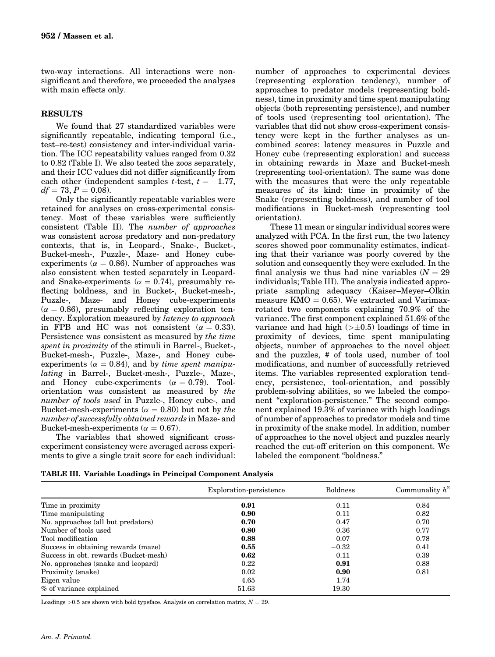two-way interactions. All interactions were nonsignificant and therefore, we proceeded the analyses with main effects only.

# RESULTS

We found that 27 standardized variables were significantly repeatable, indicating temporal (i.e., test–re-test) consistency and inter-individual variation. The ICC repeatability values ranged from 0.32 to 0.82 (Table I). We also tested the zoos separately, and their ICC values did not differ significantly from each other (independent samples t-test,  $t = -1.77$ ,  $df = 73, P = 0.08$ .

Only the significantly repeatable variables were retained for analyses on cross‐experimental consistency. Most of these variables were sufficiently consistent (Table II). The number of approaches was consistent across predatory and non-predatory contexts, that is, in Leopard‐, Snake‐, Bucket‐, Bucket‐mesh‐, Puzzle‐, Maze‐ and Honey cube‐ experiments ( $\alpha = 0.86$ ). Number of approaches was also consistent when tested separately in Leopard‐ and Snake-experiments ( $\alpha = 0.74$ ), presumably reflecting boldness, and in Bucket-, Bucket-mesh-, Puzzle‐, Maze‐ and Honey cube‐experiments  $(\alpha = 0.86)$ , presumably reflecting exploration tendency. Exploration measured by *latency* to approach in FPB and HC was not consistent ( $\alpha = 0.33$ ). Persistence was consistent as measured by the time spent in proximity of the stimuli in Barrel-, Bucket-, Bucket‐mesh‐, Puzzle‐, Maze‐, and Honey cube‐ experiments ( $\alpha = 0.84$ ), and by *time spent manipu*lating in Barrel-, Bucket-mesh-, Puzzle-, Maze-, and Honey cube-experiments  $(\alpha = 0.79)$ . Toolorientation was consistent as measured by the number of tools used in Puzzle-, Honey cube-, and Bucket-mesh-experiments ( $\alpha = 0.80$ ) but not by the number of successfully obtained rewards in Maze‐ and Bucket-mesh-experiments ( $\alpha = 0.67$ ).

The variables that showed significant crossexperiment consistency were averaged across experiments to give a single trait score for each individual: number of approaches to experimental devices (representing exploration tendency), number of approaches to predator models (representing boldness), time in proximity and time spent manipulating objects (both representing persistence), and number of tools used (representing tool orientation). The variables that did not show cross‐experiment consistency were kept in the further analyses as un‐ combined scores: latency measures in Puzzle and Honey cube (representing exploration) and success in obtaining rewards in Maze and Bucket‐mesh (representing tool‐orientation). The same was done with the measures that were the only repeatable measures of its kind: time in proximity of the Snake (representing boldness), and number of tool modifications in Bucket‐mesh (representing tool orientation).

These 11 mean or singular individual scores were analyzed with PCA. In the first run, the two latency scores showed poor communality estimates, indicating that their variance was poorly covered by the solution and consequently they were excluded. In the final analysis we thus had nine variables  $(N = 29)$ individuals; Table III). The analysis indicated appropriate sampling adequacy (Kaiser–Meyer–Olkin measure  $KMO = 0.65$ ). We extracted and Varimaxrotated two components explaining 70.9% of the variance. The first component explained 51.6% of the variance and had high  $(>\pm 0.5)$  loadings of time in proximity of devices, time spent manipulating objects, number of approaches to the novel object and the puzzles, # of tools used, number of tool modifications, and number of successfully retrieved items. The variables represented exploration tendency, persistence, tool-orientation, and possibly problem‐solving abilities, so we labeled the component "exploration-persistence." The second component explained 19.3% of variance with high loadings of number of approaches to predator models and time in proximity of the snake model. In addition, number of approaches to the novel object and puzzles nearly reached the cut‐off criterion on this component. We labeled the component "boldness."

| TABLE III. Variable Loadings in Principal Component Analysis |  |
|--------------------------------------------------------------|--|
|                                                              |  |

|                                       | Exploration-persistence | <b>Boldness</b> | Communality $h^2$ |
|---------------------------------------|-------------------------|-----------------|-------------------|
| Time in proximity                     | 0.91                    | 0.11            | 0.84              |
| Time manipulating                     | 0.90                    | 0.11            | 0.82              |
| No. approaches (all but predators)    | 0.70                    | 0.47            | 0.70              |
| Number of tools used                  | 0.80                    | 0.36            | 0.77              |
| Tool modification                     | 0.88                    | 0.07            | 0.78              |
| Success in obtaining rewards (maze)   | 0.55                    | $-0.32$         | 0.41              |
| Success in obt. rewards (Bucket-mesh) | 0.62                    | 0.11            | 0.39              |
| No. approaches (snake and leopard)    | 0.22                    | 0.91            | 0.88              |
| Proximity (snake)                     | 0.02                    | 0.90            | 0.81              |
| Eigen value                           | 4.65                    | 1.74            |                   |
| % of variance explained               | 51.63                   | 19.30           |                   |

Loadings  $>0.5$  are shown with bold typeface. Analysis on correlation matrix,  $N = 29$ .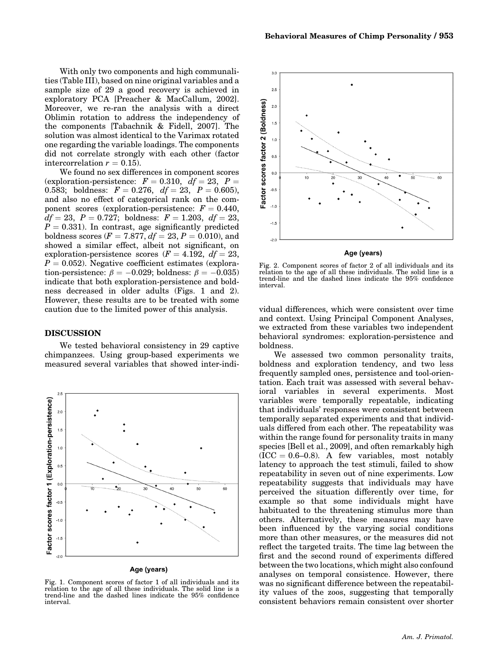With only two components and high communalities (Table III), based on nine original variables and a sample size of 29 a good recovery is achieved in exploratory PCA [Preacher & MacCallum, 2002]. Moreover, we re-ran the analysis with a direct Oblimin rotation to address the independency of the components [Tabachnik & Fidell, 2007]. The solution was almost identical to the Varimax rotated one regarding the variable loadings. The components did not correlate strongly with each other (factor intercorrelation  $r = 0.15$ ).

We found no sex differences in component scores (exploration-persistence:  $F = 0.310, df = 23, P =$ 0.583; boldness:  $F = 0.276$ ,  $df = 23$ ,  $P = 0.605$ ), and also no effect of categorical rank on the component scores (exploration-persistence:  $F = 0.440$ ,  $df = 23$ ,  $P = 0.727$ ; boldness:  $F = 1.203$ ,  $df = 23$ ,  $P = 0.331$ ). In contrast, age significantly predicted boldness scores ( $F = 7.877$ ,  $df = 23$ ,  $P = 0.010$ ), and showed a similar effect, albeit not significant, on exploration-persistence scores  $(F = 4.192, df = 23,$  $P = 0.052$ ). Negative coefficient estimates (exploration-persistence:  $\beta = -0.029$ ; boldness:  $\beta = -0.035$ ) indicate that both exploration‐persistence and boldness decreased in older adults (Figs. 1 and 2). However, these results are to be treated with some caution due to the limited power of this analysis.

### DISCUSSION

We tested behavioral consistency in 29 captive chimpanzees. Using group‐based experiments we measured several variables that showed inter‐indi-



#### Age (years)

Fig. 1. Component scores of factor 1 of all individuals and its relation to the age of all these individuals. The solid line is a trend‐line and the dashed lines indicate the 95% confidence interval.



Age (years)

Fig. 2. Component scores of factor 2 of all individuals and its relation to the age of all these individuals. The solid line is a trend‐line and the dashed lines indicate the 95% confidence interval.

vidual differences, which were consistent over time and context. Using Principal Component Analyses, we extracted from these variables two independent behavioral syndromes: exploration‐persistence and boldness.

We assessed two common personality traits, boldness and exploration tendency, and two less frequently sampled ones, persistence and tool‐orientation. Each trait was assessed with several behavioral variables in several experiments. Most variables were temporally repeatable, indicating that individuals' responses were consistent between temporally separated experiments and that individuals differed from each other. The repeatability was within the range found for personality traits in many species [Bell et al., 2009], and often remarkably high  $(ICC = 0.6-0.8)$ . A few variables, most notably latency to approach the test stimuli, failed to show repeatability in seven out of nine experiments. Low repeatability suggests that individuals may have perceived the situation differently over time, for example so that some individuals might have habituated to the threatening stimulus more than others. Alternatively, these measures may have been influenced by the varying social conditions more than other measures, or the measures did not reflect the targeted traits. The time lag between the first and the second round of experiments differed between the two locations, which might also confound analyses on temporal consistence. However, there was no significant difference between the repeatability values of the zoos, suggesting that temporally consistent behaviors remain consistent over shorter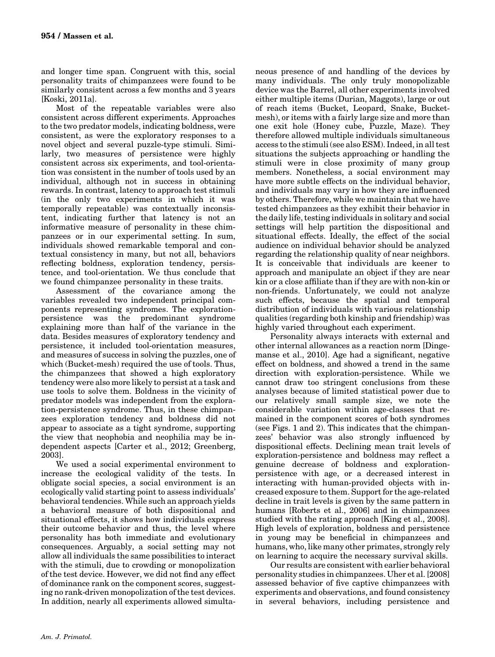and longer time span. Congruent with this, social personality traits of chimpanzees were found to be similarly consistent across a few months and 3 years [Koski, 2011a].

Most of the repeatable variables were also consistent across different experiments. Approaches to the two predator models, indicating boldness, were consistent, as were the exploratory responses to a novel object and several puzzle‐type stimuli. Similarly, two measures of persistence were highly consistent across six experiments, and tool‐orientation was consistent in the number of tools used by an individual, although not in success in obtaining rewards. In contrast, latency to approach test stimuli (in the only two experiments in which it was temporally repeatable) was contextually inconsistent, indicating further that latency is not an informative measure of personality in these chimpanzees or in our experimental setting. In sum, individuals showed remarkable temporal and contextual consistency in many, but not all, behaviors reflecting boldness, exploration tendency, persistence, and tool‐orientation. We thus conclude that we found chimpanzee personality in these traits.

Assessment of the covariance among the variables revealed two independent principal components representing syndromes. The exploration‐ persistence was the predominant syndrome explaining more than half of the variance in the data. Besides measures of exploratory tendency and persistence, it included tool‐orientation measures, and measures of success in solving the puzzles, one of which (Bucket-mesh) required the use of tools. Thus, the chimpanzees that showed a high exploratory tendency were also more likely to persist at a task and use tools to solve them. Boldness in the vicinity of predator models was independent from the exploration‐persistence syndrome. Thus, in these chimpanzees exploration tendency and boldness did not appear to associate as a tight syndrome, supporting the view that neophobia and neophilia may be independent aspects [Carter et al., 2012; Greenberg, 2003].

We used a social experimental environment to increase the ecological validity of the tests. In obligate social species, a social environment is an ecologically valid starting point to assess individuals' behavioral tendencies. While such an approach yields a behavioral measure of both dispositional and situational effects, it shows how individuals express their outcome behavior and thus, the level where personality has both immediate and evolutionary consequences. Arguably, a social setting may not allow all individuals the same possibilities to interact with the stimuli, due to crowding or monopolization of the test device. However, we did not find any effect of dominance rank on the component scores, suggesting no rank‐driven monopolization of the test devices. In addition, nearly all experiments allowed simulta-

neous presence of and handling of the devices by many individuals. The only truly monopolizable device was the Barrel, all other experiments involved either multiple items (Durian, Maggots), large or out of reach items (Bucket, Leopard, Snake, Bucket‐ mesh), or items with a fairly large size and more than one exit hole (Honey cube, Puzzle, Maze). They therefore allowed multiple individuals simultaneous access to the stimuli (see also ESM). Indeed, in all test situations the subjects approaching or handling the stimuli were in close proximity of many group members. Nonetheless, a social environment may have more subtle effects on the individual behavior, and individuals may vary in how they are influenced by others. Therefore, while we maintain that we have tested chimpanzees as they exhibit their behavior in the daily life, testing individuals in solitary and social settings will help partition the dispositional and situational effects. Ideally, the effect of the social audience on individual behavior should be analyzed regarding the relationship quality of near neighbors. It is conceivable that individuals are keener to approach and manipulate an object if they are near kin or a close affiliate than if they are with non‐kin or non‐friends. Unfortunately, we could not analyze such effects, because the spatial and temporal distribution of individuals with various relationship qualities (regarding both kinship and friendship) was highly varied throughout each experiment.

Personality always interacts with external and other internal allowances as a reaction norm [Dingemanse et al., 2010]. Age had a significant, negative effect on boldness, and showed a trend in the same direction with exploration‐persistence. While we cannot draw too stringent conclusions from these analyses because of limited statistical power due to our relatively small sample size, we note the considerable variation within age‐classes that remained in the component scores of both syndromes (see Figs. 1 and 2). This indicates that the chimpanzees' behavior was also strongly influenced by dispositional effects. Declining mean trait levels of exploration‐persistence and boldness may reflect a genuine decrease of boldness and exploration‐ persistence with age, or a decreased interest in interacting with human‐provided objects with increased exposure to them. Support for the age‐related decline in trait levels is given by the same pattern in humans [Roberts et al., 2006] and in chimpanzees studied with the rating approach [King et al., 2008]. High levels of exploration, boldness and persistence in young may be beneficial in chimpanzees and humans, who, like many other primates, strongly rely on learning to acquire the necessary survival skills.

Our results are consistent with earlier behavioral personality studies in chimpanzees. Uher et al. [2008] assessed behavior of five captive chimpanzees with experiments and observations, and found consistency in several behaviors, including persistence and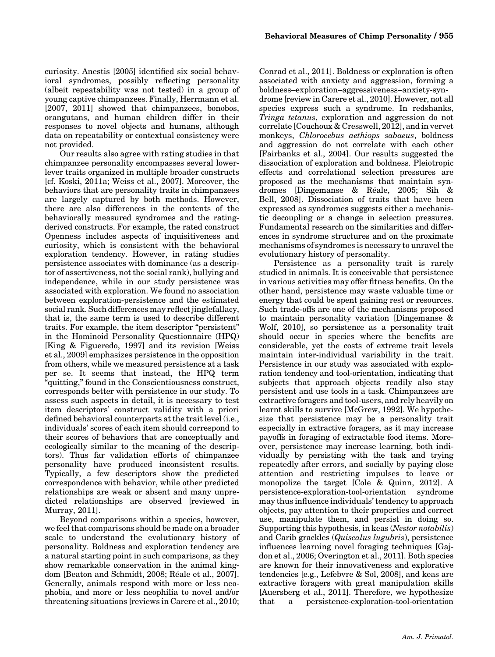curiosity. Anestis [2005] identified six social behavioral syndromes, possibly reflecting personality (albeit repeatability was not tested) in a group of young captive chimpanzees. Finally, Herrmann et al. [2007, 2011] showed that chimpanzees, bonobos, orangutans, and human children differ in their responses to novel objects and humans, although data on repeatability or contextual consistency were not provided.

Our results also agree with rating studies in that chimpanzee personality encompasses several lower‐ lever traits organized in multiple broader constructs [cf. Koski, 2011a; Weiss et al., 2007]. Moreover, the behaviors that are personality traits in chimpanzees are largely captured by both methods. However, there are also differences in the contents of the behaviorally measured syndromes and the rating‐ derived constructs. For example, the rated construct Openness includes aspects of inquisitiveness and curiosity, which is consistent with the behavioral exploration tendency. However, in rating studies persistence associates with dominance (as a descriptor of assertiveness, not the social rank), bullying and independence, while in our study persistence was associated with exploration. We found no association between exploration‐persistence and the estimated social rank. Such differences may reflect jinglefallacy, that is, the same term is used to describe different traits. For example, the item descriptor "persistent" in the Hominoid Personality Questionnaire (HPQ) [King & Figueredo, 1997] and its revision [Weiss et al., 2009] emphasizes persistence in the opposition from others, while we measured persistence at a task per se. It seems that instead, the HPQ term "quitting," found in the Conscientiousness construct, corresponds better with persistence in our study. To assess such aspects in detail, it is necessary to test item descriptors' construct validity with a priori defined behavioral counterparts at the trait level (i.e., individuals' scores of each item should correspond to their scores of behaviors that are conceptually and ecologically similar to the meaning of the descriptors). Thus far validation efforts of chimpanzee personality have produced inconsistent results. Typically, a few descriptors show the predicted correspondence with behavior, while other predicted relationships are weak or absent and many unpredicted relationships are observed [reviewed in Murray, 2011].

Beyond comparisons within a species, however, we feel that comparisons should be made on a broader scale to understand the evolutionary history of personality. Boldness and exploration tendency are a natural starting point in such comparisons, as they show remarkable conservation in the animal kingdom [Beaton and Schmidt, 2008; Réale et al., 2007]. Generally, animals respond with more or less neophobia, and more or less neophilia to novel and/or threatening situations [reviews in Carere et al., 2010;

Conrad et al., 2011]. Boldness or exploration is often associated with anxiety and aggression, forming a boldness–exploration–aggressiveness–anxiety‐syndrome [review in Carere et al., 2010]. However, not all species express such a syndrome. In redshanks, Tringa tetanus, exploration and aggression do not correlate [Couchoux & Cresswell, 2012], and in vervet monkeys, Chlorocebus aethiops sabaeus, boldness and aggression do not correlate with each other [Fairbanks et al., 2004]. Our results suggested the dissociation of exploration and boldness. Pleiotropic effects and correlational selection pressures are proposed as the mechanisms that maintain syndromes [Dingemanse & Réale, 2005; Sih & Bell, 2008]. Dissociation of traits that have been expressed as syndromes suggests either a mechanistic decoupling or a change in selection pressures. Fundamental research on the similarities and differences in syndrome structures and on the proximate mechanisms of syndromes is necessary to unravel the evolutionary history of personality.

Persistence as a personality trait is rarely studied in animals. It is conceivable that persistence in various activities may offer fitness benefits. On the other hand, persistence may waste valuable time or energy that could be spent gaining rest or resources. Such trade‐offs are one of the mechanisms proposed to maintain personality variation [Dingemanse & Wolf, 2010], so persistence as a personality trait should occur in species where the benefits are considerable, yet the costs of extreme trait levels maintain inter‐individual variability in the trait. Persistence in our study was associated with exploration tendency and tool‐orientation, indicating that subjects that approach objects readily also stay persistent and use tools in a task. Chimpanzees are extractive foragers and tool‐users, and rely heavily on learnt skills to survive [McGrew, 1992]. We hypothesize that persistence may be a personality trait especially in extractive foragers, as it may increase payoffs in foraging of extractable food items. Moreover, persistence may increase learning, both individually by persisting with the task and trying repeatedly after errors, and socially by paying close attention and restricting impulses to leave or monopolize the target [Cole & Quinn, 2012]. A persistence‐exploration‐tool‐orientation syndrome may thus influence individuals' tendency to approach objects, pay attention to their properties and correct use, manipulate them, and persist in doing so. Supporting this hypothesis, in keas (Nestor notabilis) and Carib grackles (Quiscalus lugubris), persistence influences learning novel foraging techniques [Gajdon et al., 2006; Overington et al., 2011]. Both species are known for their innovativeness and explorative tendencies [e.g., Lefebvre & Sol, 2008], and keas are extractive foragers with great manipulation skills [Auersberg et al., 2011]. Therefore, we hypothesize that a persistence‐exploration‐tool‐orientation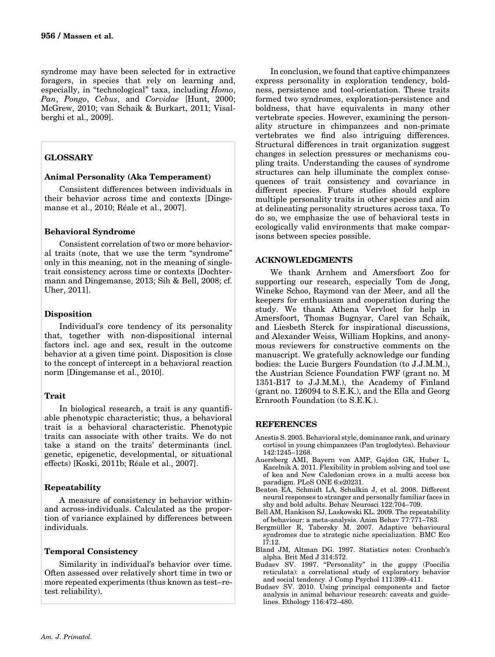syndrome may have been selected for in extractive foragers, in species that rely on learning and, especially, in "technological" taxa, including Homo, Pan, Pongo, Cebus, and Corvidae [Hunt, 2000; McGrew, 2010; van Schaik & Burkart, 2011; Visalberghi et al., 2009].

# GLOSSARY

### Animal Personality (Aka Temperament)

Consistent differences between individuals in their behavior across time and contexts [Dingemanse et al., 2010; Réale et al., 2007].

# Behavioral Syndrome

Consistent correlation of two or more behavioral traits (note, that we use the term "syndrome" only in this meaning, not in the meaning of single‐ trait consistency across time or contexts [Dochtermann and Dingemanse, 2013; Sih & Bell, 2008; cf. Uher, 2011].

# **Disposition**

Individual's core tendency of its personality that, together with non‐dispositional internal factors incl. age and sex, result in the outcome behavior at a given time point. Disposition is close to the concept of intercept in a behavioral reaction norm [Dingemanse et al., 2010].

# Trait

In biological research, a trait is any quantifiable phenotypic characteristic; thus, a behavioral trait is a behavioral characteristic. Phenotypic traits can associate with other traits. We do not take a stand on the traits' determinants (incl. genetic, epigenetic, developmental, or situational effects) [Koski, 2011b; Réale et al., 2007].

# Repeatability

A measure of consistency in behavior within‐ and across‐individuals. Calculated as the proportion of variance explained by differences between individuals.

# Temporal Consistency

Similarity in individual's behavior over time. Often assessed over relatively short time in two or more repeated experiments (thus known as test–retest reliability).

In conclusion, we found that captive chimpanzees express personality in exploration tendency, boldness, persistence and tool‐orientation. These traits formed two syndromes, exploration‐persistence and boldness, that have equivalents in many other vertebrate species. However, examining the personality structure in chimpanzees and non‐primate vertebrates we find also intriguing differences. Structural differences in trait organization suggest changes in selection pressures or mechanisms coupling traits. Understanding the causes of syndrome structures can help illuminate the complex consequences of trait consistency and covariance in different species. Future studies should explore multiple personality traits in other species and aim at delineating personality structures across taxa. To do so, we emphasize the use of behavioral tests in ecologically valid environments that make comparisons between species possible.

### ACKNOWLEDGMENTS

We thank Arnhem and Amersfoort Zoo for supporting our research, especially Tom de Jong, Wineke Schoo, Raymond van der Meer, and all the keepers for enthusiasm and cooperation during the study. We thank Athena Vervloet for help in Amersfoort, Thomas Bugnyar, Carel van Schaik, and Liesbeth Sterck for inspirational discussions, and Alexander Weiss, William Hopkins, and anonymous reviewers for constructive comments on the manuscript. We gratefully acknowledge our funding bodies: the Lucie Burgers Foundation (to J.J.M.M.), the Austrian Science Foundation FWF (grant no. M 1351‐B17 to J.J.M.M.), the Academy of Finland (grant no. 126094 to S.E.K.), and the Ella and Georg Ernrooth Foundation (to S.E.K.).

# **REFERENCES**

- Anestis S. 2005. Behavioral style, dominance rank, and urinary cortisol in young chimpanzees (Pan troglodytes). Behaviour 142:1245–1268.
- Auersberg AMI, Bayern von AMP, Gajdon GK, Huber L, Kacelnik A. 2011. Flexibility in problem solving and tool use of kea and New Caledonian crows in a multi access box paradigm. PLoS ONE 6:e20231.
- Beaton EA, Schmidt LA, Schulkin J, et al. 2008. Different neural responses to stranger and personally familiar faces in shy and bold adults. Behav Neurosci 122:704–709.
- Bell AM, Hankison SJ, Laskowski KL. 2009. The repeatability of behaviour: a meta‐analysis. Anim Behav 77:771–783.
- Bergmüller R, Taborsky M. 2007. Adaptive behavioural syndromes due to strategic niche specialization. BMC Eco  $17.12.$
- Bland JM, Altman DG. 1997. Statistics notes: Cronbach's alpha. Brit Med J 314:572.
- Budaev SV. 1997. "Personality" in the guppy (Poecilia reticulata): a correlational study of exploratory behavior and social tendency. J Comp Psychol 111:399-411.
- Budaev SV. 2010. Using principal components and factor analysis in animal behaviour research: caveats and guidelines. Ethology 116:472–480.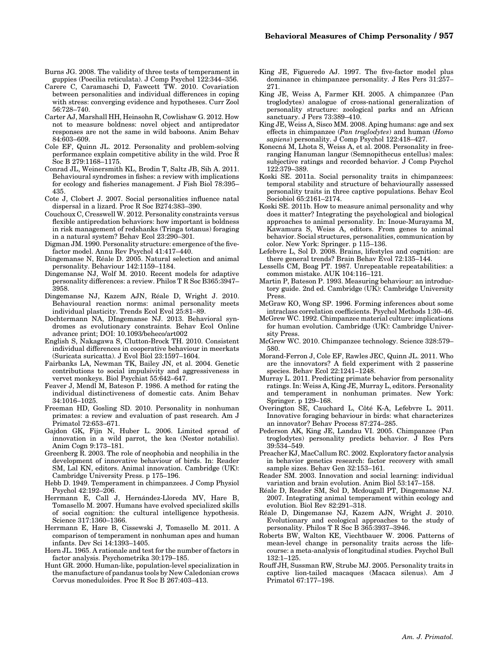- Burns JG. 2008. The validity of three tests of temperament in guppies (Poecilia reticulata). J Comp Psychol 122:344–356.
- Carere C, Caramaschi D, Fawcett TW. 2010. Covariation between personalities and individual differences in coping with stress: converging evidence and hypotheses. Curr Zool 56:728–740.
- Carter AJ, Marshall HH, Heinsohn R, Cowlishaw G. 2012. How not to measure boldness: novel object and antipredator responses are not the same in wild baboons. Anim Behav 84:603–609.
- Cole EF, Quinn JL. 2012. Personality and problem‐solving performance explain competitive ability in the wild. Proc  $\breve{R}$ Soc B 279:1168–1175.
- Conrad JL, Weinersmith KL, Brodin T, Saltz JB, Sih A. 2011. Behavioural syndromes in fishes: a review with implications for ecology and fisheries management. J Fish Biol 78:395– 435.
- Cote J, Clobert J. 2007. Social personalities influence natal dispersal in a lizard. Proc R Soc B274:383–390.
- Couchoux C, Cresswell W. 2012. Personality constraints versus flexible antipredation behaviors: how important is boldness in risk management of redshanks (Tringa totanus) foraging in a natural system? Behav Ecol 23:290–301.
- Digman JM. 1990. Personality structure: emergence of the five‐ factor model. Annu Rev Psychol 41:417–440.
- Dingemanse N, Réale D. 2005. Natural selection and animal personality. Behaviour 142:1159–1184.
- Dingemanse NJ, Wolf M. 2010. Recent models for adaptive personality differences: a review. Philos T R Soc B365:3947– 3958.
- Dingemanse NJ, Kazem AJN, Réale D, Wright J. 2010. Behavioural reaction norms: animal personality meets individual plasticity. Trends Ecol Evol 25:81–89.
- Dochtermann NA, DIngemanse NJ. 2013. Behavioral syndromes as evolutionary constraints. Behav Ecol Online advance print; DOI: 10.1093/beheco/art002
- English S, Nakagawa S, Clutton‐Brock TH. 2010. Consistent individual differences in cooperative behaviour in meerkats (Suricata suricatta). J Evol Biol 23:1597–1604.
- Fairbanks LA, Newman TK, Bailey JN, et al. 2004. Genetic contributions to social impulsivity and aggressiveness in vervet monkeys. Biol Psychiat 55:642–647.
- Feaver J, Mendl M, Bateson P. 1986. A method for rating the individual distinctiveness of domestic cats. Anim Behav 34:1016–1025.
- Freeman HD, Gosling SD. 2010. Personality in nonhuman primates: a review and evaluation of past research. Am J Primatol 72:653–671.
- Gajdon GK, Fijn N, Huber L. 2006. Limited spread of innovation in a wild parrot, the kea (Nestor notabilis). Anim Cogn 9:173–181.
- Greenberg R. 2003. The role of neophobia and neophilia in the development of innovative behaviour of birds. In: Reader SM, Lal KN, editors. Animal innovation. Cambridge (UK): Cambridge University Press. p 175–196.
- Hebb D. 1949. Temperament in chimpanzees. J Comp Physiol Psychol 42:192–206.
- Herrmann E, Call J, Hernández‐Lloreda MV, Hare B, Tomasello M. 2007. Humans have evolved specialized skills of social cognition: the cultural intelligence hypothesis. Science 317:1360–1366.
- Herrmann E, Hare B, Cissewski J, Tomasello M. 2011. A comparison of temperament in nonhuman apes and human infants. Dev Sci 14:1393–1405.
- Horn JL. 1965. A rationale and test for the number of factors in factor analysis. Psychometrika 30:179–185.
- Hunt GR. 2000. Human‐like, population‐level specialization in the manufacture of pandanus tools by New Caledonian crows Corvus moneduloides. Proc R Soc B 267:403–413.
- King JE, Figueredo AJ. 1997. The five-factor model plus dominance in chimpanzee personality. J Res Pers 31:257– 271.
- King JE, Weiss A, Farmer KH. 2005. A chimpanzee (Pan troglodytes) analogue of cross‐national generalization of personality structure: zoological parks and an African sanctuary. J Pers 73:389–410.
- King JE, Weiss A, Sisco MM. 2008. Aping humans: age and sex effects in chimpanzee (Pan troglodytes) and human (Homo sapiens) personality. J Comp Psychol 122:418-427.
- Konecná M, Lhota S, Weiss A, et al. 2008. Personality in freeranging Hanuman langur (Semnopithecus entellus) males: subjective ratings and recorded behavior. J Comp Psychol 122:379–389.
- Koski SE. 2011a. Social personality traits in chimpanzees: temporal stability and structure of behaviourally assessed personality traits in three captive populations. Behav Ecol Sociobiol 65:2161–2174.
- Koski SE. 2011b. How to measure animal personality and why does it matter? Integrating the psychological and biological approaches to animal personality. In: Inoue‐Murayama M, Kawamura S, Weiss A, editors. From genes to animal behavior. Social structures, personalities, communication by color. New York: Springer. p 115–136.
- Lefebvre L, Sol D. 2008. Brains, lifestyles and cognition: are there general trends? Brain Behav Evol 72:135–144.
- Lessells CM, Boag PT. 1987. Unrepeatable repeatabilities: a common mistake. AUK 104:116–121.
- Martin P, Bateson P. 1993. Measuring behaviour: an introductory guide. 2nd ed. Cambridge (UK): Cambridge University Press.
- McGraw KO, Wong SP. 1996. Forming inferences about some intraclass correlation coefficients. Psychol Methods 1:30–46.
- McGrew WC. 1992. Chimpanzee material culture: implications for human evolution. Cambridge (UK): Cambridge University Press.
- McGrew WC. 2010. Chimpanzee technology. Science 328:579– 580.
- Morand‐Ferron J, Cole EF, Rawles JEC, Quinn JL. 2011. Who are the innovators? A field experiment with 2 passerine species. Behav Ecol 22:1241–1248.
- Murray L. 2011. Predicting primate behavior from personality ratings. In: Weiss A, King JE, Murray L, editors. Personality and temperament in nonhuman primates. New York: Springer. p 129–168.
- Overington SE, Cauchard L, Côté K‐A, Lefebvre L. 2011. Innovative foraging behaviour in birds: what characterizes an innovator? Behav Process 87:274–285.
- Pederson AK, King JE, Landau VI. 2005. Chimpanzee (Pan troglodytes) personality predicts behavior. J Res Pers 39:534–549.
- Preacher KJ, MacCallum RC. 2002. Exploratory factor analysis in behavior genetics research: factor recovery with small sample sizes. Behav Gen 32:153–161.
- Reader SM. 2003. Innovation and social learning: individual variation and brain evolution. Anim Biol 53:147–158.
- Réale D, Reader SM, Sol D, Mcdougall PT, Dingemanse NJ. 2007. Integrating animal temperament within ecology and evolution. Biol Rev 82:291–318.
- Réale D, Dingemanse NJ, Kazem AJN, Wright J. 2010. Evolutionary and ecological approaches to the study of personality. Philos T R Soc B 365:3937–3946.
- Roberts BW, Walton KE, Viechtbauer W. 2006. Patterns of mean-level change in personality traits across the lifecourse: a meta‐analysis of longitudinal studies. Psychol Bull 132:1–125.
- Rouff JH, Sussman RW, Strube MJ. 2005. Personality traits in captive lion‐tailed macaques (Macaca silenus). Am J Primatol 67:177–198.